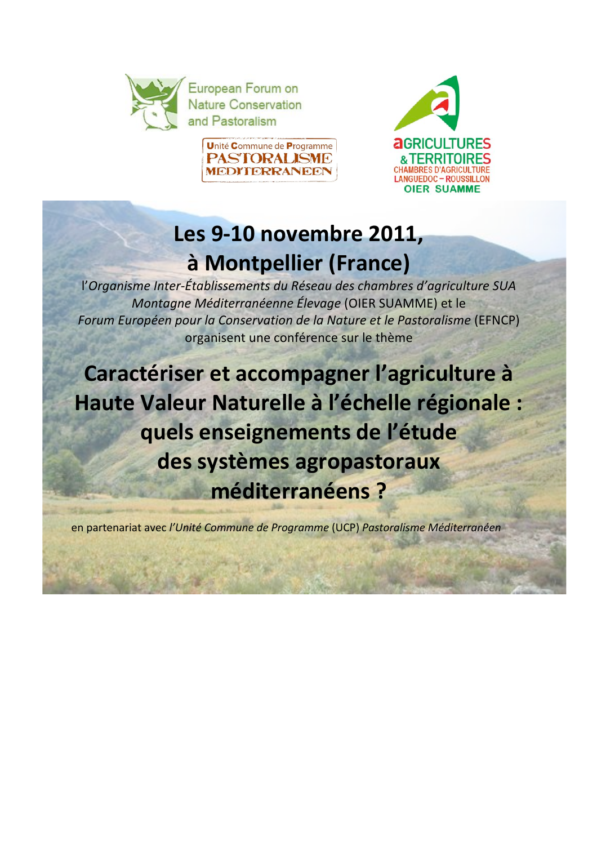





# **Les 9-10 novembre 2011,** à Montpellier (France)

l'Organisme Inter-Établissements du Réseau des chambres d'agriculture SUA Montagne Méditerranéenne Élevage (OIER SUAMME) et le Forum Européen pour la Conservation de la Nature et le Pastoralisme (EFNCP) organisent une conférence sur le thème

Caractériser et accompagner l'agriculture à Haute Valeur Naturelle à l'échelle régionale : quels enseignements de l'étude des systèmes agropastoraux méditerranéens ?

en partenariat avec l'Unité Commune de Programme (UCP) Pastoralisme Méditerranéen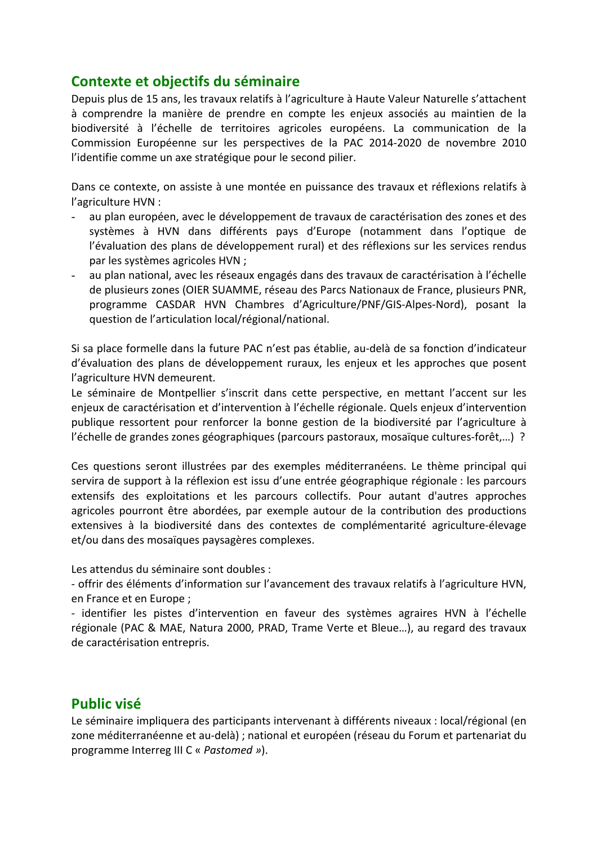## Contexte et objectifs du séminaire

Depuis plus de 15 ans, les travaux relatifs à l'agriculture à Haute Valeur Naturelle s'attachent à comprendre la manière de prendre en compte les enjeux associés au maintien de la biodiversité à l'échelle de territoires agricoles européens. La communication de la Commission Européenne sur les perspectives de la PAC 2014-2020 de novembre 2010 l'identifie comme un axe stratégique pour le second pilier.

Dans ce contexte, on assiste à une montée en puissance des travaux et réflexions relatifs à l'agriculture HVN :

- au plan européen, avec le développement de travaux de caractérisation des zones et des systèmes à HVN dans différents pays d'Europe (notamment dans l'optique de l'évaluation des plans de développement rural) et des réflexions sur les services rendus par les systèmes agricoles HVN :
- au plan national, avec les réseaux engagés dans des travaux de caractérisation à l'échelle de plusieurs zones (OIER SUAMME, réseau des Parcs Nationaux de France, plusieurs PNR, programme CASDAR HVN Chambres d'Agriculture/PNF/GIS-Alpes-Nord), posant la question de l'articulation local/régional/national.

Si sa place formelle dans la future PAC n'est pas établie, au-delà de sa fonction d'indicateur d'évaluation des plans de développement ruraux, les enjeux et les approches que posent l'agriculture HVN demeurent.

Le séminaire de Montpellier s'inscrit dans cette perspective, en mettant l'accent sur les enjeux de caractérisation et d'intervention à l'échelle régionale. Quels enjeux d'intervention publique ressortent pour renforcer la bonne gestion de la biodiversité par l'agriculture à l'échelle de grandes zones géographiques (parcours pastoraux, mosaïque cultures-forêt,...) ?

Ces questions seront illustrées par des exemples méditerranéens. Le thème principal qui servira de support à la réflexion est issu d'une entrée géographique régionale : les parcours extensifs des exploitations et les parcours collectifs. Pour autant d'autres approches agricoles pourront être abordées, par exemple autour de la contribution des productions extensives à la biodiversité dans des contextes de complémentarité agriculture-élevage et/ou dans des mosaïques paysagères complexes.

Les attendus du séminaire sont doubles :

- offrir des éléments d'information sur l'avancement des travaux relatifs à l'agriculture HVN, en France et en Europe ;

- identifier les pistes d'intervention en faveur des systèmes agraires HVN à l'échelle régionale (PAC & MAE, Natura 2000, PRAD, Trame Verte et Bleue...), au regard des travaux de caractérisation entrepris.

#### **Public visé**

Le séminaire impliquera des participants intervenant à différents niveaux : local/régional (en zone méditerranéenne et au-delà) ; national et européen (réseau du Forum et partenariat du programme Interreg III C « Pastomed »).